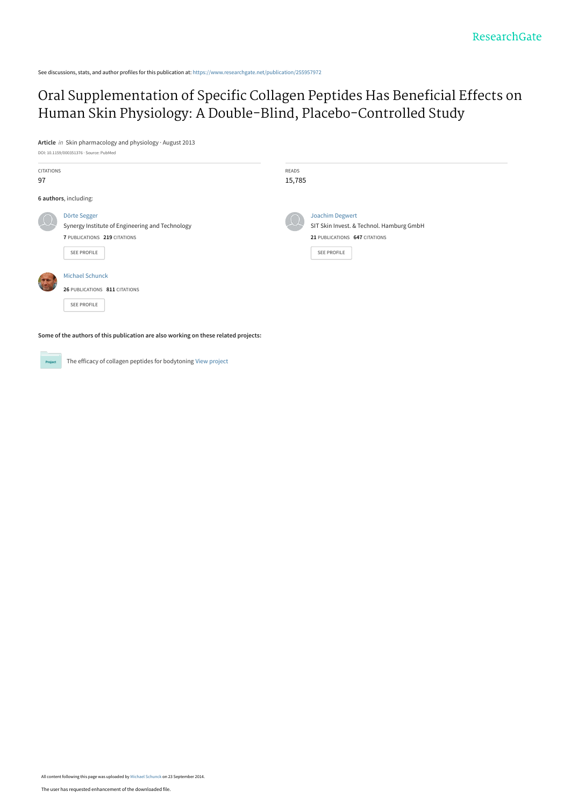See discussions, stats, and author profiles for this publication at: [https://www.researchgate.net/publication/255957972](https://www.researchgate.net/publication/255957972_Oral_Supplementation_of_Specific_Collagen_Peptides_Has_Beneficial_Effects_on_Human_Skin_Physiology_A_Double-Blind_Placebo-Controlled_Study?enrichId=rgreq-14d5e865fd2dab8b065e4833834d49e6-XXX&enrichSource=Y292ZXJQYWdlOzI1NTk1Nzk3MjtBUzoxNDQ0NTkyNzQ2NTc3OTJAMTQxMTQ1MzE4Mzc4Mw%3D%3D&el=1_x_2&_esc=publicationCoverPdf)

# [Oral Supplementation of Specific Collagen Peptides Has Beneficial Effects on](https://www.researchgate.net/publication/255957972_Oral_Supplementation_of_Specific_Collagen_Peptides_Has_Beneficial_Effects_on_Human_Skin_Physiology_A_Double-Blind_Placebo-Controlled_Study?enrichId=rgreq-14d5e865fd2dab8b065e4833834d49e6-XXX&enrichSource=Y292ZXJQYWdlOzI1NTk1Nzk3MjtBUzoxNDQ0NTkyNzQ2NTc3OTJAMTQxMTQ1MzE4Mzc4Mw%3D%3D&el=1_x_3&_esc=publicationCoverPdf) Human Skin Physiology: A Double-Blind, Placebo-Controlled Study

**Article** in Skin pharmacology and physiology · August 2013

|                  | DOI: 10.1159/000351376 · Source: PubMed                                                                        |                                                                                                             |  |  |  |
|------------------|----------------------------------------------------------------------------------------------------------------|-------------------------------------------------------------------------------------------------------------|--|--|--|
| <b>CITATIONS</b> |                                                                                                                | READS                                                                                                       |  |  |  |
| 97               |                                                                                                                | 15,785                                                                                                      |  |  |  |
|                  | 6 authors, including:                                                                                          |                                                                                                             |  |  |  |
|                  | Dörte Segger<br>Synergy Institute of Engineering and Technology<br>7 PUBLICATIONS 219 CITATIONS<br>SEE PROFILE | Joachim Degwert<br>SIT Skin Invest. & Technol. Hamburg GmbH<br>21 PUBLICATIONS 647 CITATIONS<br>SEE PROFILE |  |  |  |
|                  | <b>Michael Schunck</b><br>26 PUBLICATIONS 811 CITATIONS<br>SEE PROFILE                                         |                                                                                                             |  |  |  |

**Some of the authors of this publication are also working on these related projects:**

**Project** 

The efficacy of collagen peptides for bodytoning [View project](https://www.researchgate.net/project/The-efficacy-of-collagen-peptides-for-bodytoning?enrichId=rgreq-14d5e865fd2dab8b065e4833834d49e6-XXX&enrichSource=Y292ZXJQYWdlOzI1NTk1Nzk3MjtBUzoxNDQ0NTkyNzQ2NTc3OTJAMTQxMTQ1MzE4Mzc4Mw%3D%3D&el=1_x_9&_esc=publicationCoverPdf)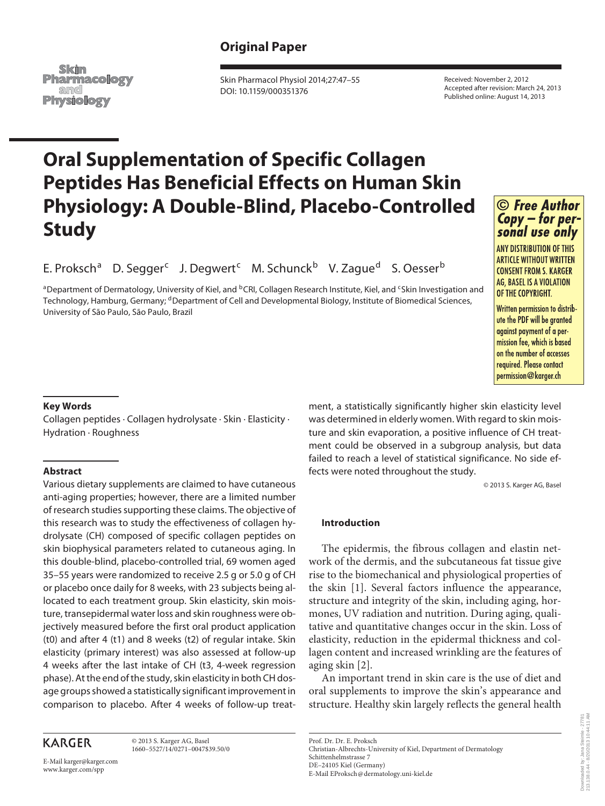## **Original Paper**

Skin **Pharmacology** and **Physiology** 

 Skin Pharmacol Physiol 2014;27:47–55 DOI: 10.1159/000351376

 Received: November 2, 2012 Accepted after revision: March 24, 2013 Published online: August 14, 2013

# **Oral Supplementation of Specific Collagen Peptides Has Beneficial Effects on Human Skin Physiology: A Double-Blind, Placebo-Controlled Study**  *Copy – for per-*

E. Proksch<sup>a</sup> D. Segger<sup>c</sup> J. Degwert<sup>c</sup> M. Schunck<sup>b</sup> V. Zague<sup>d</sup> S. Oesser<sup>b</sup> ague" S. Oess

a<br>Department of Dermatology, University of Kiel, and <sup>b</sup>CRI, Collagen Research Institute, Kiel, and <sup>c</sup>Skin Investigation and Technology, Hamburg, Germany; <sup>d</sup>Department of Cell and Developmental Biology, Institute of Biomedical Sciences,<br>University of São Raulo, São Raulo, Brazil University of São Paulo, São Paulo, Brazil te, Kiel, and S



**ANY DISTRIBUTION OF THIS ARTICLE WITHOUT WRITTEN CONSENT FROM S. KARGER AG. BASEL IS A VIOLATION** OF THE COPYRIGHT.

Written permission to distribute the PDF will be granted against payment of a permission fee, which is based on the number of accesses required. Please contact permission@karger.ch

#### **Key Words**

 Collagen peptides · Collagen hydrolysate · Skin · Elasticity · Hydration · Roughness

#### **Abstract**

 Various dietary supplements are claimed to have cutaneous anti-aging properties; however, there are a limited number of research studies supporting these claims. The objective of this research was to study the effectiveness of collagen hydrolysate (CH) composed of specific collagen peptides on skin biophysical parameters related to cutaneous aging. In this double-blind, placebo-controlled trial, 69 women aged 35–55 years were randomized to receive 2.5 g or 5.0 g of CH or placebo once daily for 8 weeks, with 23 subjects being allocated to each treatment group. Skin elasticity, skin moisture, transepidermal water loss and skin roughness were objectively measured before the first oral product application (t0) and after 4 (t1) and 8 weeks (t2) of regular intake. Skin elasticity (primary interest) was also assessed at follow-up 4 weeks after the last intake of CH (t3, 4-week regression phase). At the end of the study, skin elasticity in both CH dosage groups showed a statistically significant improvement in comparison to placebo. After 4 weeks of follow-up treat-

## **KARGER**

 © 2013 S. Karger AG, Basel 1660–5527/14/0271–0047\$39.50/0

E-Mail karger@karger.com www.karger.com/spp

ment, a statistically significantly higher skin elasticity level was determined in elderly women. With regard to skin moisture and skin evaporation, a positive influence of CH treatment could be observed in a subgroup analysis, but data failed to reach a level of statistical significance. No side efrance to reach a fever of statistical significance. We side on<br>fects were noted throughout the study.

© 2013 S. Karger AG, Basel

### **Introduction**

Prof. Dr. Dr. E. Proksch

 Schittenhelmstrasse 7 DE–24105 Kiel (Germany)

 The epidermis, the fibrous collagen and elastin network of the dermis, and the subcutaneous fat tissue give rise to the biomechanical and physiological properties of the skin [1]. Several factors influence the appearance, structure and integrity of the skin, including aging, hormones, UV radiation and nutrition. During aging, qualitative and quantitative changes occur in the skin. Loss of elasticity, reduction in the epidermal thickness and collagen content and increased wrinkling are the features of aging skin [2].

 An important trend in skin care is the use of diet and oral supplements to improve the skin's appearance and structure. Healthy skin largely reflects the general health

 Christian-Albrechts-University of Kiel, Department of Dermatology E-Mail EProksch @ dermatology.uni-kiel.de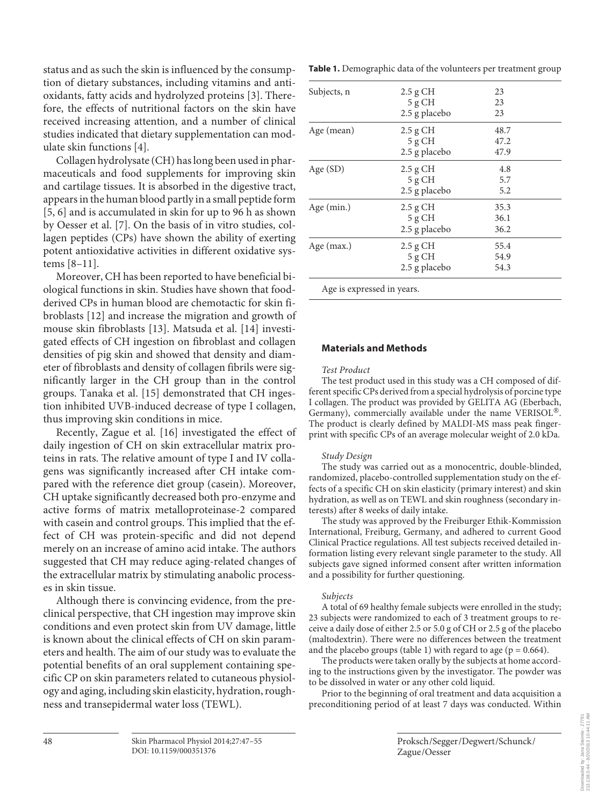status and as such the skin is influenced by the consumption of dietary substances, including vitamins and antioxidants, fatty acids and hydrolyzed proteins [3]. Therefore, the effects of nutritional factors on the skin have received increasing attention, and a number of clinical studies indicated that dietary supplementation can modulate skin functions [4].

 Collagen hydrolysate (CH) has long been used in pharmaceuticals and food supplements for improving skin and cartilage tissues. It is absorbed in the digestive tract, appears in the human blood partly in a small peptide form [5, 6] and is accumulated in skin for up to 96 h as shown by Oesser et al. [7]. On the basis of in vitro studies, collagen peptides (CPs) have shown the ability of exerting potent antioxidative activities in different oxidative systems [8–11] .

 Moreover, CH has been reported to have beneficial biological functions in skin. Studies have shown that foodderived CPs in human blood are chemotactic for skin fibroblasts [12] and increase the migration and growth of mouse skin fibroblasts [13]. Matsuda et al. [14] investigated effects of CH ingestion on fibroblast and collagen densities of pig skin and showed that density and diameter of fibroblasts and density of collagen fibrils were significantly larger in the CH group than in the control groups. Tanaka et al. [15] demonstrated that CH ingestion inhibited UVB-induced decrease of type I collagen, thus improving skin conditions in mice.

 Recently, Zague et al. [16] investigated the effect of daily ingestion of CH on skin extracellular matrix proteins in rats. The relative amount of type I and IV collagens was significantly increased after CH intake compared with the reference diet group (casein). Moreover, CH uptake significantly decreased both pro-enzyme and active forms of matrix metalloproteinase-2 compared with casein and control groups. This implied that the effect of CH was protein-specific and did not depend merely on an increase of amino acid intake. The authors suggested that CH may reduce aging-related changes of the extracellular matrix by stimulating anabolic processes in skin tissue.

 Although there is convincing evidence, from the preclinical perspective, that CH ingestion may improve skin conditions and even protect skin from UV damage, little is known about the clinical effects of CH on skin parameters and health. The aim of our study was to evaluate the potential benefits of an oral supplement containing specific CP on skin parameters related to cutaneous physiology and aging, including skin elasticity, hydration, roughness and transepidermal water loss (TEWL).

**Table 1.** Demographic data of the volunteers per treatment group

| Subjects, n                | $2.5$ g CH    | 23   |  |
|----------------------------|---------------|------|--|
|                            | 5 g CH        | 23   |  |
|                            | 2.5 g placebo | 23   |  |
| Age (mean)                 | $2.5$ g CH    | 48.7 |  |
|                            | 5 g CH        | 47.2 |  |
|                            | 2.5 g placebo | 47.9 |  |
| Age $(SD)$                 | $2.5$ g CH    | 4.8  |  |
|                            | 5 g CH        | 5.7  |  |
|                            | 2.5 g placebo | 5.2  |  |
| Age $(min.)$               | $2.5$ g CH    | 35.3 |  |
|                            | 5 g CH        | 36.1 |  |
|                            | 2.5 g placebo | 36.2 |  |
| Age $(max.)$               | $2.5$ g CH    | 55.4 |  |
|                            | 5 g CH        | 54.9 |  |
|                            | 2.5 g placebo | 54.3 |  |
| Age is expressed in years. |               |      |  |

#### **Materials and Methods**

#### *Test Product*

 The test product used in this study was a CH composed of different specific CPs derived from a special hydrolysis of porcine type I collagen. The product was provided by GELITA AG (Eberbach, Germany), commercially available under the name VERISOL<sup>®</sup>. The product is clearly defined by MALDI-MS mass peak fingerprint with specific CPs of an average molecular weight of 2.0 kDa.

#### *Study Design*

 The study was carried out as a monocentric, double-blinded, randomized, placebo-controlled supplementation study on the effects of a specific CH on skin elasticity (primary interest) and skin hydration, as well as on TEWL and skin roughness (secondary interests) after 8 weeks of daily intake.

 The study was approved by the Freiburger Ethik-Kommission International, Freiburg, Germany, and adhered to current Good Clinical Practice regulations. All test subjects received detailed information listing every relevant single parameter to the study. All subjects gave signed informed consent after written information and a possibility for further questioning.

#### *Subjects*

 A total of 69 healthy female subjects were enrolled in the study; 23 subjects were randomized to each of 3 treatment groups to receive a daily dose of either 2.5 or 5.0 g of CH or 2.5 g of the placebo (maltodextrin). There were no differences between the treatment and the placebo groups (table 1) with regard to age ( $p = 0.664$ ).

 The products were taken orally by the subjects at home according to the instructions given by the investigator. The powder was to be dissolved in water or any other cold liquid.

 Prior to the beginning of oral treatment and data acquisition a preconditioning period of at least 7 days was conducted. Within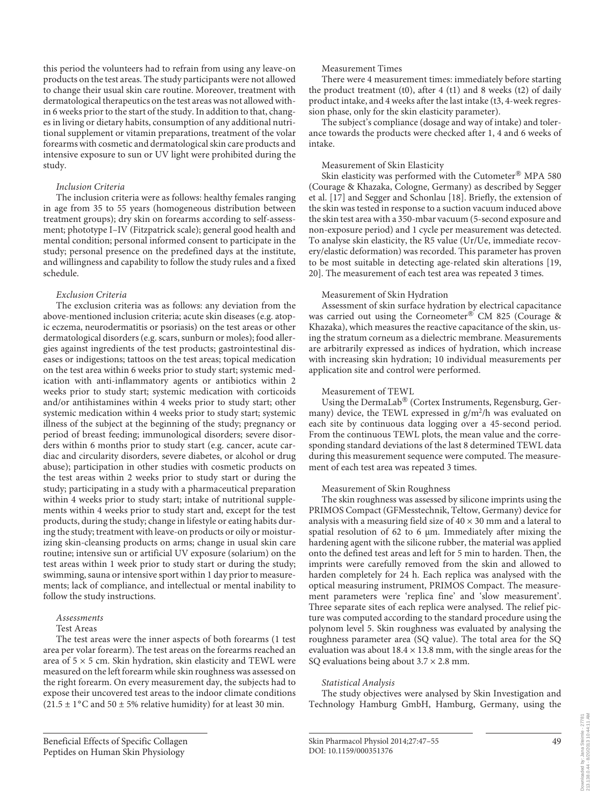this period the volunteers had to refrain from using any leave-on products on the test areas. The study participants were not allowed to change their usual skin care routine. Moreover, treatment with dermatological therapeutics on the test areas was not allowed within 6 weeks prior to the start of the study. In addition to that, changes in living or dietary habits, consumption of any additional nutritional supplement or vitamin preparations, treatment of the volar forearms with cosmetic and dermatological skin care products and intensive exposure to sun or UV light were prohibited during the study.

#### *Inclusion Criteria*

 The inclusion criteria were as follows: healthy females ranging in age from 35 to 55 years (homogeneous distribution between treatment groups); dry skin on forearms according to self-assessment; phototype I–IV (Fitzpatrick scale); general good health and mental condition; personal informed consent to participate in the study; personal presence on the predefined days at the institute, and willingness and capability to follow the study rules and a fixed schedule.

#### *Exclusion Criteria*

 The exclusion criteria was as follows: any deviation from the above-mentioned inclusion criteria; acute skin diseases (e.g. atopic eczema, neurodermatitis or psoriasis) on the test areas or other dermatological disorders (e.g. scars, sunburn or moles); food allergies against ingredients of the test products; gastrointestinal diseases or indigestions; tattoos on the test areas; topical medication on the test area within 6 weeks prior to study start; systemic medication with anti-inflammatory agents or antibiotics within 2 weeks prior to study start; systemic medication with corticoids and/or antihistamines within 4 weeks prior to study start; other systemic medication within 4 weeks prior to study start; systemic illness of the subject at the beginning of the study; pregnancy or period of breast feeding; immunological disorders; severe disorders within 6 months prior to study start (e.g. cancer, acute cardiac and circularity disorders, severe diabetes, or alcohol or drug abuse); participation in other studies with cosmetic products on the test areas within 2 weeks prior to study start or during the study; participating in a study with a pharmaceutical preparation within 4 weeks prior to study start; intake of nutritional supplements within 4 weeks prior to study start and, except for the test products, during the study; change in lifestyle or eating habits during the study; treatment with leave-on products or oily or moisturizing skin-cleansing products on arms; change in usual skin care routine; intensive sun or artificial UV exposure (solarium) on the test areas within 1 week prior to study start or during the study; swimming, sauna or intensive sport within 1 day prior to measurements; lack of compliance, and intellectual or mental inability to follow the study instructions.

#### *Assessments*  Test Areas

 The test areas were the inner aspects of both forearms (1 test area per volar forearm). The test areas on the forearms reached an area of  $5 \times 5$  cm. Skin hydration, skin elasticity and TEWL were measured on the left forearm while skin roughness was assessed on the right forearm. On every measurement day, the subjects had to expose their uncovered test areas to the indoor climate conditions  $(21.5 \pm 1^{\circ}$ C and 50  $\pm$  5% relative humidity) for at least 30 min.

#### Measurement Times

 There were 4 measurement times: immediately before starting the product treatment (t0), after 4 (t1) and 8 weeks (t2) of daily product intake, and 4 weeks after the last intake (t3, 4-week regression phase, only for the skin elasticity parameter).

 The subject's compliance (dosage and way of intake) and tolerance towards the products were checked after 1, 4 and 6 weeks of intake.

#### Measurement of Skin Elasticity

Skin elasticity was performed with the Cutometer® MPA 580 (Courage & Khazaka, Cologne, Germany) as described by Segger et al. [17] and Segger and Schonlau [18] . Briefly, the extension of the skin was tested in response to a suction vacuum induced above the skin test area with a 350-mbar vacuum (5-second exposure and non-exposure period) and 1 cycle per measurement was detected. To analyse skin elasticity, the R5 value (Ur/Ue, immediate recovery/elastic deformation) was recorded. This parameter has proven to be most suitable in detecting age-related skin alterations [19, 20]. The measurement of each test area was repeated 3 times.

#### Measurement of Skin Hydration

 Assessment of skin surface hydration by electrical capacitance was carried out using the Corneometer® CM 825 (Courage & Khazaka), which measures the reactive capacitance of the skin, using the stratum corneum as a dielectric membrane. Measurements are arbitrarily expressed as indices of hydration, which increase with increasing skin hydration; 10 individual measurements per application site and control were performed.

#### Measurement of TEWL

Using the DermaLab<sup>®</sup> (Cortex Instruments, Regensburg, Germany) device, the TEWL expressed in g/m<sup>2</sup>/h was evaluated on each site by continuous data logging over a 45-second period. From the continuous TEWL plots, the mean value and the corresponding standard deviations of the last 8 determined TEWL data during this measurement sequence were computed. The measurement of each test area was repeated 3 times.

#### Measurement of Skin Roughness

 The skin roughness was assessed by silicone imprints using the PRIMOS Compact (GFMesstechnik, Teltow, Germany) device for analysis with a measuring field size of  $40 \times 30$  mm and a lateral to spatial resolution of 62 to 6 μm. Immediately after mixing the hardening agent with the silicone rubber, the material was applied onto the defined test areas and left for 5 min to harden. Then, the imprints were carefully removed from the skin and allowed to harden completely for 24 h. Each replica was analysed with the optical measuring instrument, PRIMOS Compact. The measurement parameters were 'replica fine' and 'slow measurement'. Three separate sites of each replica were analysed. The relief picture was computed according to the standard procedure using the polynom level 5. Skin roughness was evaluated by analysing the roughness parameter area (SQ value). The total area for the SQ evaluation was about  $18.4 \times 13.8$  mm, with the single areas for the SQ evaluations being about  $3.7 \times 2.8$  mm.

#### *Statistical Analysis*

 The study objectives were analysed by Skin Investigation and Technology Hamburg GmbH, Hamburg, Germany, using the

49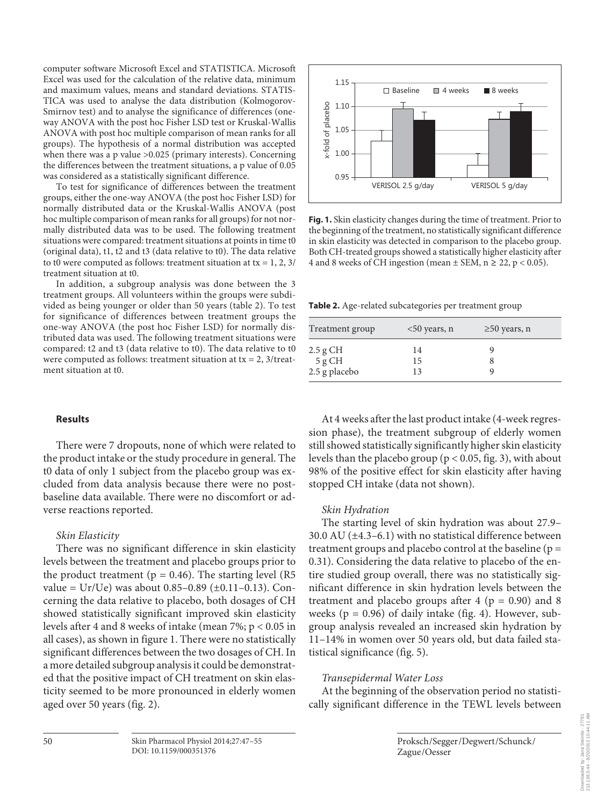computer software Microsoft Excel and STATISTICA. Microsoft Excel was used for the calculation of the relative data, minimum and maximum values, means and standard deviations. STATIS-TICA was used to analyse the data distribution (Kolmogorov-Smirnov test) and to analyse the significance of differences (oneway ANOVA with the post hoc Fisher LSD test or Kruskal-Wallis ANOVA with post hoc multiple comparison of mean ranks for all groups). The hypothesis of a normal distribution was accepted when there was a p value >0.025 (primary interests). Concerning the differences between the treatment situations, a p value of 0.05 was considered as a statistically significant difference.

 To test for significance of differences between the treatment groups, either the one-way ANOVA (the post hoc Fisher LSD) for normally distributed data or the Kruskal-Wallis ANOVA (post hoc multiple comparison of mean ranks for all groups) for not normally distributed data was to be used. The following treatment situations were compared: treatment situations at points in time t0 (original data), t1, t2 and t3 (data relative to t0). The data relative to t0 were computed as follows: treatment situation at tx =  $1, 2, 3/$ treatment situation at t0.

 In addition, a subgroup analysis was done between the 3 treatment groups. All volunteers within the groups were subdivided as being younger or older than 50 years (table 2). To test for significance of differences between treatment groups the one-way ANOVA (the post hoc Fisher LSD) for normally distributed data was used. The following treatment situations were compared: t2 and t3 (data relative to t0). The data relative to t0 were computed as follows: treatment situation at  $tx = 2$ , 3/treatment situation at t0.

### **Results**

 There were 7 dropouts, none of which were related to the product intake or the study procedure in general. The t0 data of only 1 subject from the placebo group was excluded from data analysis because there were no postbaseline data available. There were no discomfort or adverse reactions reported.

#### *Skin Elasticity*

 There was no significant difference in skin elasticity levels between the treatment and placebo groups prior to the product treatment ( $p = 0.46$ ). The starting level (R5 value =  $Ur/Ve$ ) was about 0.85–0.89 ( $\pm$ 0.11–0.13). Concerning the data relative to placebo, both dosages of CH showed statistically significant improved skin elasticity levels after 4 and 8 weeks of intake (mean 7%; p < 0.05 in all cases), as shown in figure 1. There were no statistically significant differences between the two dosages of CH. In a more detailed subgroup analysis it could be demonstrated that the positive impact of CH treatment on skin elasticity seemed to be more pronounced in elderly women aged over 50 years (fig. 2).



**Fig. 1.** Skin elasticity changes during the time of treatment. Prior to the beginning of the treatment, no statistically significant difference in skin elasticity was detected in comparison to the placebo group. Both CH-treated groups showed a statistically higher elasticity after 4 and 8 weeks of CH ingestion (mean  $\pm$  SEM, n  $\geq$  22, p < 0.05).

**Table 2.** Age-related subcategories per treatment group

| Treatment group   | $<$ 50 years, n | $\geq$ 50 years, n |
|-------------------|-----------------|--------------------|
| 2.5 g CH          | 14              |                    |
| $5 \mathrm{g}$ CH | 15              |                    |
| 2.5 g placebo     | 13              |                    |

 At 4 weeks after the last product intake (4-week regression phase), the treatment subgroup of elderly women still showed statistically significantly higher skin elasticity levels than the placebo group ( $p < 0.05$ , fig. 3), with about 98% of the positive effect for skin elasticity after having stopped CH intake (data not shown).

### *Skin Hydration*

 The starting level of skin hydration was about 27.9– 30.0 AU  $(\pm 4.3 - 6.1)$  with no statistical difference between treatment groups and placebo control at the baseline ( $p =$ 0.31). Considering the data relative to placebo of the entire studied group overall, there was no statistically significant difference in skin hydration levels between the treatment and placebo groups after  $4$  ( $p = 0.90$ ) and 8 weeks ( $p = 0.96$ ) of daily intake (fig. 4). However, subgroup analysis revealed an increased skin hydration by 11–14% in women over 50 years old, but data failed statistical significance (fig. 5).

### *Transepidermal Water Loss*

 At the beginning of the observation period no statistically significant difference in the TEWL levels between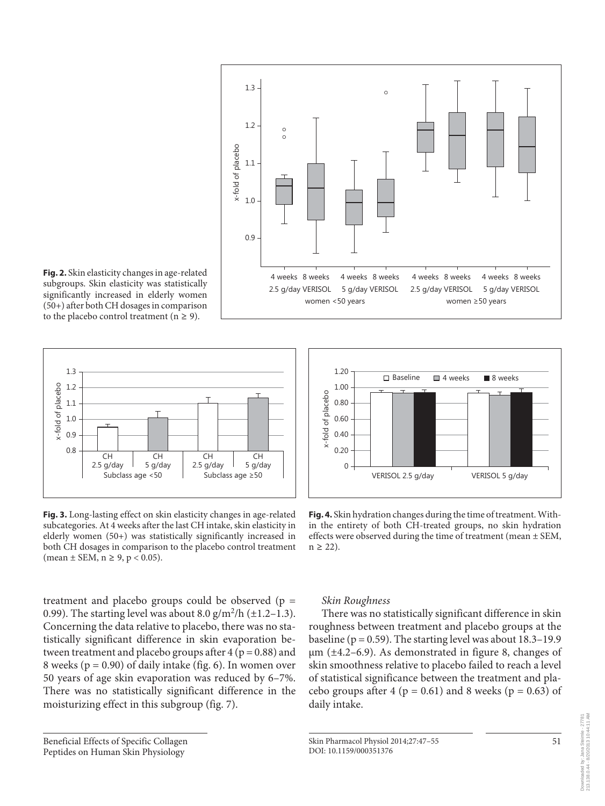

subgroups. Skin elasticity was statistically significantly increased in elderly women (50+) after both CH dosages in comparison to the placebo control treatment ( $n \geq 9$ ).



**Fig. 3.** Long-lasting effect on skin elasticity changes in age-related subcategories. At 4 weeks after the last CH intake, skin elasticity in elderly women (50+) was statistically significantly increased in both CH dosages in comparison to the placebo control treatment  $(\text{mean} \pm \text{SEM}, \text{n} \geq 9, \text{p} < 0.05).$ 

treatment and placebo groups could be observed ( $p =$ 0.99). The starting level was about 8.0  $\frac{g}{m^2}$ h (±1.2-1.3). Concerning the data relative to placebo, there was no statistically significant difference in skin evaporation between treatment and placebo groups after  $4 (p = 0.88)$  and 8 weeks ( $p = 0.90$ ) of daily intake (fig. 6). In women over 50 years of age skin evaporation was reduced by 6–7%. There was no statistically significant difference in the moisturizing effect in this subgroup (fig. 7).

#### Beneficial Effects of Specific Collagen Peptides on Human Skin Physiology



**Fig. 4.** Skin hydration changes during the time of treatment. Within the entirety of both CH-treated groups, no skin hydration effects were observed during the time of treatment (mean ± SEM,  $n \geq 22$ ).

## *Skin Roughness*

 There was no statistically significant difference in skin roughness between treatment and placebo groups at the baseline ( $p = 0.59$ ). The starting level was about 18.3–19.9  $\mu$ m ( $\pm$ 4.2–6.9). As demonstrated in figure 8, changes of skin smoothness relative to placebo failed to reach a level of statistical significance between the treatment and placebo groups after 4 ( $p = 0.61$ ) and 8 weeks ( $p = 0.63$ ) of daily intake.

Skin Pharmacol Physiol 2014;27:47–55 DOI: 10.1159/000351376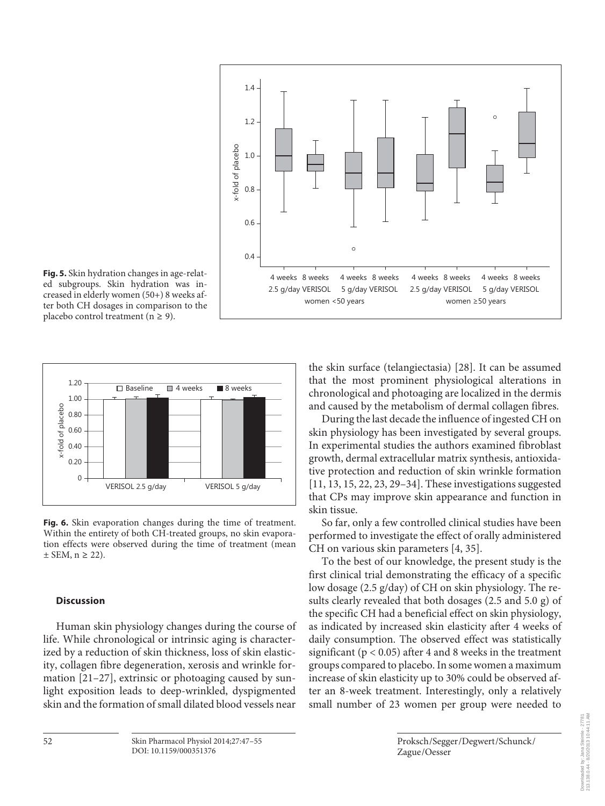

ed subgroups. Skin hydration was increased in elderly women (50+) 8 weeks after both CH dosages in comparison to the placebo control treatment ( $n \geq 9$ ).



**Fig. 6.** Skin evaporation changes during the time of treatment. Within the entirety of both CH-treated groups, no skin evaporation effects were observed during the time of treatment (mean  $\pm$  SEM, n  $\geq$  22).

#### **Discussion**

 Human skin physiology changes during the course of life. While chronological or intrinsic aging is characterized by a reduction of skin thickness, loss of skin elasticity, collagen fibre degeneration, xerosis and wrinkle formation  $[21-27]$ , extrinsic or photoaging caused by sunlight exposition leads to deep-wrinkled, dyspigmented skin and the formation of small dilated blood vessels near

the skin surface (telangiectasia) [28] . It can be assumed that the most prominent physiological alterations in chronological and photoaging are localized in the dermis and caused by the metabolism of dermal collagen fibres.

 During the last decade the influence of ingested CH on skin physiology has been investigated by several groups. In experimental studies the authors examined fibroblast growth, dermal extracellular matrix synthesis, antioxidative protection and reduction of skin wrinkle formation [11, 13, 15, 22, 23, 29–34] . These investigations suggested that CPs may improve skin appearance and function in skin tissue.

 So far, only a few controlled clinical studies have been performed to investigate the effect of orally administered CH on various skin parameters [4, 35] .

 To the best of our knowledge, the present study is the first clinical trial demonstrating the efficacy of a specific low dosage (2.5 g/day) of CH on skin physiology. The results clearly revealed that both dosages (2.5 and 5.0 g) of the specific CH had a beneficial effect on skin physiology, as indicated by increased skin elasticity after 4 weeks of daily consumption. The observed effect was statistically significant ( $p < 0.05$ ) after 4 and 8 weeks in the treatment groups compared to placebo. In some women a maximum increase of skin elasticity up to 30% could be observed after an 8-week treatment. Interestingly, only a relatively small number of 23 women per group were needed to

Zague /Oesser

Proksch /Segger /Degwert /Schunck /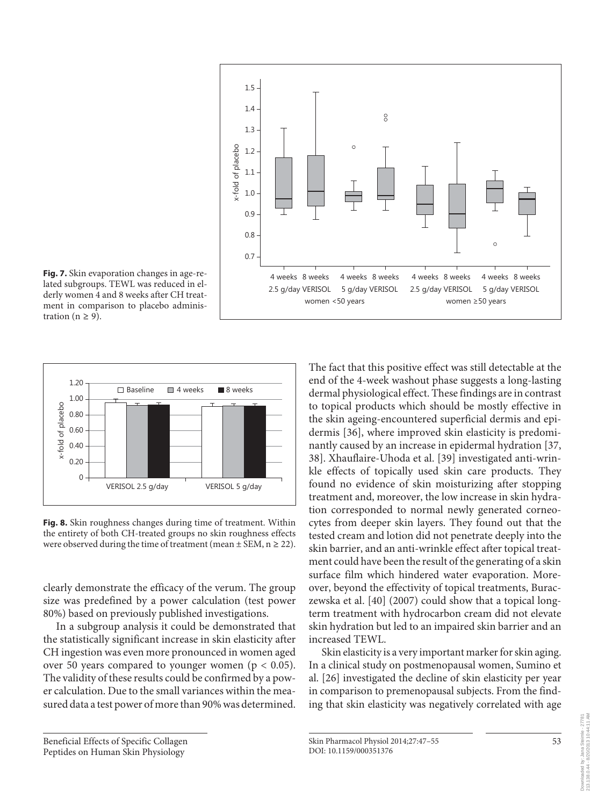

**Fig. 7.** Skin evaporation changes in age-related subgroups. TEWL was reduced in elderly women 4 and 8 weeks after CH treatment in comparison to placebo administration ( $n \geq 9$ ).



**Fig. 8.** Skin roughness changes during time of treatment. Within the entirety of both CH-treated groups no skin roughness effects were observed during the time of treatment (mean  $\pm$  SEM, n  $\geq$  22).

clearly demonstrate the efficacy of the verum. The group size was predefined by a power calculation (test power 80%) based on previously published investigations.

 In a subgroup analysis it could be demonstrated that the statistically significant increase in skin elasticity after CH ingestion was even more pronounced in women aged over 50 years compared to younger women ( $p < 0.05$ ). The validity of these results could be confirmed by a power calculation. Due to the small variances within the measured data a test power of more than 90% was determined.

 Beneficial Effects of Specific Collagen Peptides on Human Skin Physiology

The fact that this positive effect was still detectable at the end of the 4-week washout phase suggests a long-lasting dermal physiological effect. These findings are in contrast to topical products which should be mostly effective in the skin ageing-encountered superficial dermis and epidermis [36], where improved skin elasticity is predominantly caused by an increase in epidermal hydration [37, 38] . Xhauflaire-Uhoda et al. [39] investigated anti-wrinkle effects of topically used skin care products. They found no evidence of skin moisturizing after stopping treatment and, moreover, the low increase in skin hydration corresponded to normal newly generated corneocytes from deeper skin layers. They found out that the tested cream and lotion did not penetrate deeply into the skin barrier, and an anti-wrinkle effect after topical treatment could have been the result of the generating of a skin surface film which hindered water evaporation. Moreover, beyond the effectivity of topical treatments, Buraczewska et al. [40] (2007) could show that a topical longterm treatment with hydrocarbon cream did not elevate skin hydration but led to an impaired skin barrier and an increased TEWL.

 Skin elasticity is a very important marker for skin aging. In a clinical study on postmenopausal women, Sumino et al. [26] investigated the decline of skin elasticity per year in comparison to premenopausal subjects. From the finding that skin elasticity was negatively correlated with age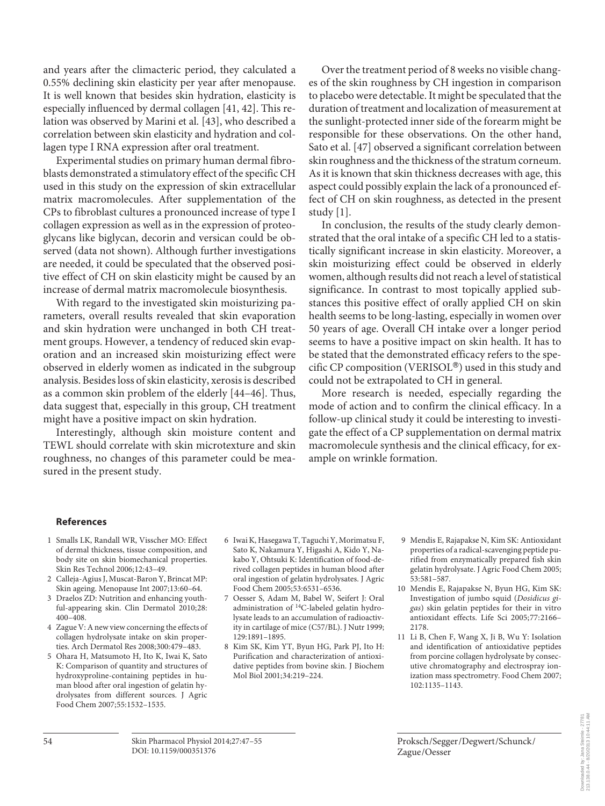and years after the climacteric period, they calculated a 0.55% declining skin elasticity per year after menopause. It is well known that besides skin hydration, elasticity is especially influenced by dermal collagen [41, 42] . This relation was observed by Marini et al. [43], who described a correlation between skin elasticity and hydration and collagen type I RNA expression after oral treatment.

 Experimental studies on primary human dermal fibroblasts demonstrated a stimulatory effect of the specific CH used in this study on the expression of skin extracellular matrix macromolecules. After supplementation of the CPs to fibroblast cultures a pronounced increase of type I collagen expression as well as in the expression of proteoglycans like biglycan, decorin and versican could be observed (data not shown). Although further investigations are needed, it could be speculated that the observed positive effect of CH on skin elasticity might be caused by an increase of dermal matrix macromolecule biosynthesis.

 With regard to the investigated skin moisturizing parameters, overall results revealed that skin evaporation and skin hydration were unchanged in both CH treatment groups. However, a tendency of reduced skin evaporation and an increased skin moisturizing effect were observed in elderly women as indicated in the subgroup analysis. Besides loss of skin elasticity, xerosis is described as a common skin problem of the elderly [44–46] . Thus, data suggest that, especially in this group, CH treatment might have a positive impact on skin hydration.

 Interestingly, although skin moisture content and TEWL should correlate with skin microtexture and skin roughness, no changes of this parameter could be measured in the present study.

 Over the treatment period of 8 weeks no visible changes of the skin roughness by CH ingestion in comparison to placebo were detectable. It might be speculated that the duration of treatment and localization of measurement at the sunlight-protected inner side of the forearm might be responsible for these observations. On the other hand, Sato et al. [47] observed a significant correlation between skin roughness and the thickness of the stratum corneum. As it is known that skin thickness decreases with age, this aspect could possibly explain the lack of a pronounced effect of CH on skin roughness, as detected in the present study [1].

 In conclusion, the results of the study clearly demonstrated that the oral intake of a specific CH led to a statistically significant increase in skin elasticity. Moreover, a skin moisturizing effect could be observed in elderly women, although results did not reach a level of statistical significance. In contrast to most topically applied substances this positive effect of orally applied CH on skin health seems to be long-lasting, especially in women over 50 years of age. Overall CH intake over a longer period seems to have a positive impact on skin health. It has to be stated that the demonstrated efficacy refers to the specific CP composition (VERISOL®) used in this study and could not be extrapolated to CH in general.

 More research is needed, especially regarding the mode of action and to confirm the clinical efficacy. In a follow-up clinical study it could be interesting to investigate the effect of a CP supplementation on dermal matrix macromolecule synthesis and the clinical efficacy, for example on wrinkle formation.

#### **References**

- 1 Smalls LK, Randall WR, Visscher MO: Effect of dermal thickness, tissue composition, and body site on skin biomechanical properties. Skin Res Technol 2006;12:43–49.
- 2 Calleja-Agius J, Muscat-Baron Y, Brincat MP: Skin ageing. Menopause Int 2007;13:60–64.
- 3 Draelos ZD: Nutrition and enhancing youthful-appearing skin. Clin Dermatol 2010;28: 400–408.
- 4 Zague V: A new view concerning the effects of collagen hydrolysate intake on skin properties. Arch Dermatol Res 2008;300:479–483.
- 5 Ohara H, Matsumoto H, Ito K, Iwai K, Sato K: Comparison of quantity and structures of hydroxyproline-containing peptides in human blood after oral ingestion of gelatin hydrolysates from different sources. J Agric Food Chem 2007;55:1532–1535.
- 6 Iwai K, Hasegawa T, Taguchi Y, Morimatsu F, Sato K, Nakamura Y, Higashi A, Kido Y, Nakabo Y, Ohtsuki K: Identification of food-derived collagen peptides in human blood after oral ingestion of gelatin hydrolysates. J Agric Food Chem 2005;53:6531–6536.
- 7 Oesser S, Adam M, Babel W, Seifert J: Oral administration of <sup>14</sup>C-labeled gelatin hydrolysate leads to an accumulation of radioactivity in cartilage of mice (C57/BL). J Nutr 1999; 129:1891–1895.
- 8 Kim SK, Kim YT, Byun HG, Park PJ, Ito H: Purification and characterization of antioxidative peptides from bovine skin. J Biochem Mol Biol 2001;34:219–224.
- 9 Mendis E, Rajapakse N, Kim SK: Antioxidant properties of a radical-scavenging peptide purified from enzymatically prepared fish skin gelatin hydrolysate. J Agric Food Chem 2005; 53:581–587.
- 10 Mendis E, Rajapakse N, Byun HG, Kim SK: Investigation of jumbo squid ( *Dosidicus gigas* ) skin gelatin peptides for their in vitro antioxidant effects. Life Sci 2005;77:2166– 2178.
- 11 Li B, Chen F, Wang X, Ji B, Wu Y: Isolation and identification of antioxidative peptides from porcine collagen hydrolysate by consecutive chromatography and electrospray ionization mass spectrometry. Food Chem 2007; 102:1135–1143.